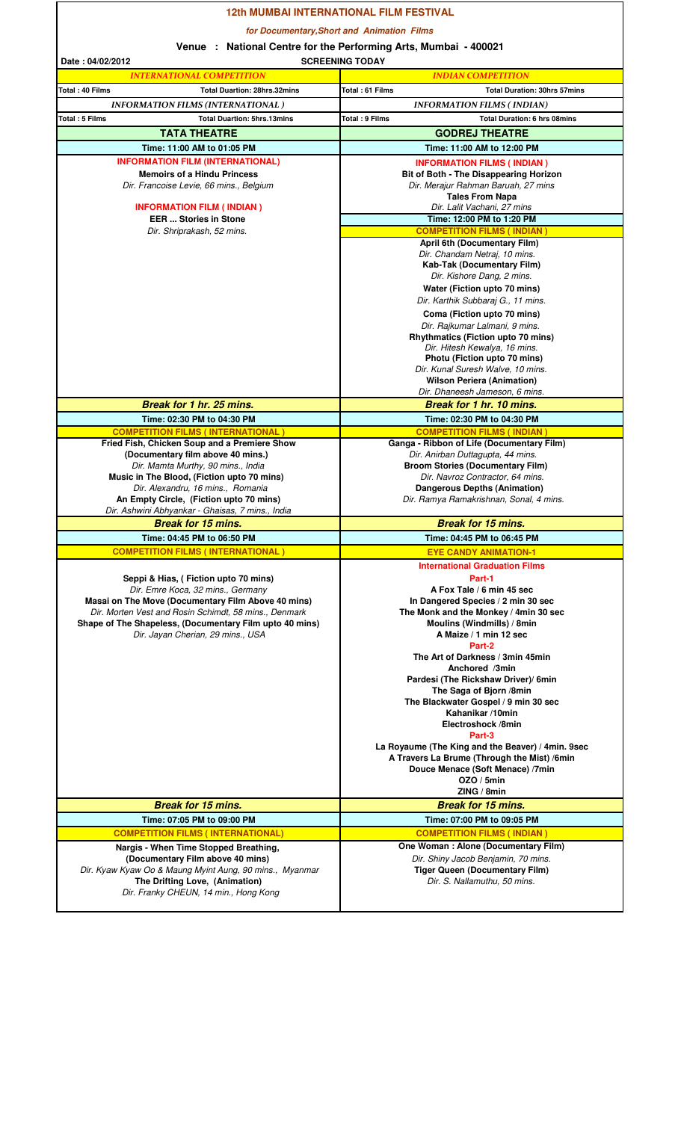|                                                                                              | <b>12th MUMBAI INTERNATIONAL FILM FESTIVAL</b>                                     |
|----------------------------------------------------------------------------------------------|------------------------------------------------------------------------------------|
|                                                                                              | for Documentary, Short and Animation Films                                         |
|                                                                                              | Venue : National Centre for the Performing Arts, Mumbai - 400021                   |
| Date: 04/02/2012                                                                             | <b>SCREENING TODAY</b>                                                             |
| <b>INTERNATIONAL COMPETITION</b>                                                             | <b>INDIAN COMPETITION</b>                                                          |
| Total: 40 Films<br><b>Total Duartion: 28hrs.32mins</b>                                       | Total: 61 Films<br><b>Total Duration: 30hrs 57mins</b>                             |
| <b>INFORMATION FILMS (INTERNATIONAL)</b>                                                     | <b>INFORMATION FILMS (INDIAN)</b>                                                  |
| Total: 5 Films<br><b>Total Duartion: 5hrs.13mins</b>                                         | <b>Total: 9 Films</b><br><b>Total Duration: 6 hrs 08mins</b>                       |
| <b>TATA THEATRE</b><br>Time: 11:00 AM to 01:05 PM                                            | <b>GODREJ THEATRE</b>                                                              |
| <b>INFORMATION FILM (INTERNATIONAL)</b>                                                      | Time: 11:00 AM to 12:00 PM                                                         |
| <b>Memoirs of a Hindu Princess</b>                                                           | <b>INFORMATION FILMS (INDIAN)</b><br><b>Bit of Both - The Disappearing Horizon</b> |
| Dir. Francoise Levie, 66 mins., Belgium                                                      | Dir. Merajur Rahman Baruah, 27 mins                                                |
|                                                                                              | <b>Tales From Napa</b>                                                             |
| <b>INFORMATION FILM (INDIAN)</b><br><b>EER  Stories in Stone</b>                             | Dir. Lalit Vachani, 27 mins<br>Time: 12:00 PM to 1:20 PM                           |
| Dir. Shriprakash, 52 mins.                                                                   | <b>COMPETITION FILMS (INDIAN)</b>                                                  |
|                                                                                              | <b>April 6th (Documentary Film)</b>                                                |
|                                                                                              | Dir. Chandam Netraj, 10 mins.<br>Kab-Tak (Documentary Film)                        |
|                                                                                              | Dir. Kishore Dang, 2 mins.                                                         |
|                                                                                              | Water (Fiction upto 70 mins)                                                       |
|                                                                                              | Dir. Karthik Subbaraj G., 11 mins.                                                 |
|                                                                                              | Coma (Fiction upto 70 mins)                                                        |
|                                                                                              | Dir. Rajkumar Lalmani, 9 mins.<br><b>Rhythmatics (Fiction upto 70 mins)</b>        |
|                                                                                              | Dir. Hitesh Kewalya, 16 mins.                                                      |
|                                                                                              | Photu (Fiction upto 70 mins)                                                       |
|                                                                                              | Dir. Kunal Suresh Walve, 10 mins.<br><b>Wilson Periera (Animation)</b>             |
|                                                                                              | Dir. Dhaneesh Jameson, 6 mins.                                                     |
| Break for 1 hr. 25 mins.                                                                     | Break for 1 hr. 10 mins.                                                           |
| Time: 02:30 PM to 04:30 PM                                                                   | Time: 02:30 PM to 04:30 PM                                                         |
| <b>COMPETITION FILMS (INTERNATIONAL)</b>                                                     | <b>COMPETITION FILMS (INDIAN)</b>                                                  |
| Fried Fish, Chicken Soup and a Premiere Show<br>(Documentary film above 40 mins.)            | Ganga - Ribbon of Life (Documentary Film)<br>Dir. Anirban Duttagupta, 44 mins.     |
| Dir. Mamta Murthy, 90 mins., India                                                           | <b>Broom Stories (Documentary Film)</b>                                            |
| Music in The Blood, (Fiction upto 70 mins)                                                   | Dir. Navroz Contractor, 64 mins.                                                   |
| Dir. Alexandru, 16 mins., Romania<br>An Empty Circle, (Fiction upto 70 mins)                 | <b>Dangerous Depths (Animation)</b><br>Dir. Ramya Ramakrishnan, Sonal, 4 mins.     |
| Dir. Ashwini Abhyankar - Ghaisas, 7 mins., India                                             |                                                                                    |
| <b>Break for 15 mins.</b>                                                                    | <b>Break for 15 mins.</b>                                                          |
| Time: 04:45 PM to 06:50 PM                                                                   | Time: 04:45 PM to 06:45 PM                                                         |
| <b>COMPETITION FILMS (INTERNATIONAL)</b>                                                     | <b>EYE CANDY ANIMATION-1</b>                                                       |
|                                                                                              | <b>International Graduation Films</b>                                              |
| Seppi & Hias, (Fiction upto 70 mins)<br>Dir. Emre Koca, 32 mins., Germany                    | Part-1<br>A Fox Tale / 6 min 45 sec                                                |
| Masai on The Move (Documentary Film Above 40 mins)                                           | In Dangered Species / 2 min 30 sec                                                 |
| Dir. Morten Vest and Rosin Schimdt, 58 mins., Denmark                                        | The Monk and the Monkey / 4min 30 sec                                              |
| Shape of The Shapeless, (Documentary Film upto 40 mins)<br>Dir. Jayan Cherian, 29 mins., USA | Moulins (Windmills) / 8min<br>A Maize / 1 min 12 sec                               |
|                                                                                              | Part-2                                                                             |
|                                                                                              | The Art of Darkness / 3min 45min                                                   |
|                                                                                              | Anchored /3min<br>Pardesi (The Rickshaw Driver)/ 6min                              |
|                                                                                              | The Saga of Bjorn /8min                                                            |
|                                                                                              | The Blackwater Gospel / 9 min 30 sec                                               |
|                                                                                              | Kahanikar /10min<br>Electroshock /8min                                             |
|                                                                                              | Part-3                                                                             |
|                                                                                              | La Royaume (The King and the Beaver) / 4min. 9sec                                  |
|                                                                                              | A Travers La Brume (Through the Mist) /6min                                        |
|                                                                                              | Douce Menace (Soft Menace) /7min<br>OZO / 5min                                     |
|                                                                                              | ZING / 8min                                                                        |
| <b>Break for 15 mins.</b>                                                                    | <b>Break for 15 mins.</b>                                                          |
| Time: 07:05 PM to 09:00 PM                                                                   | Time: 07:00 PM to 09:05 PM                                                         |
| <b>COMPETITION FILMS (INTERNATIONAL)</b>                                                     | <b>COMPETITION FILMS (INDIAN)</b>                                                  |
| Nargis - When Time Stopped Breathing,                                                        | One Woman: Alone (Documentary Film)                                                |
| (Documentary Film above 40 mins)<br>Dir. Kyaw Kyaw Oo & Maung Myint Aung, 90 mins., Myanmar  | Dir. Shiny Jacob Benjamin, 70 mins.<br><b>Tiger Queen (Documentary Film)</b>       |
| The Drifting Love, (Animation)                                                               | Dir. S. Nallamuthu, 50 mins.                                                       |
| Dir. Franky CHEUN, 14 min., Hong Kong                                                        |                                                                                    |
|                                                                                              |                                                                                    |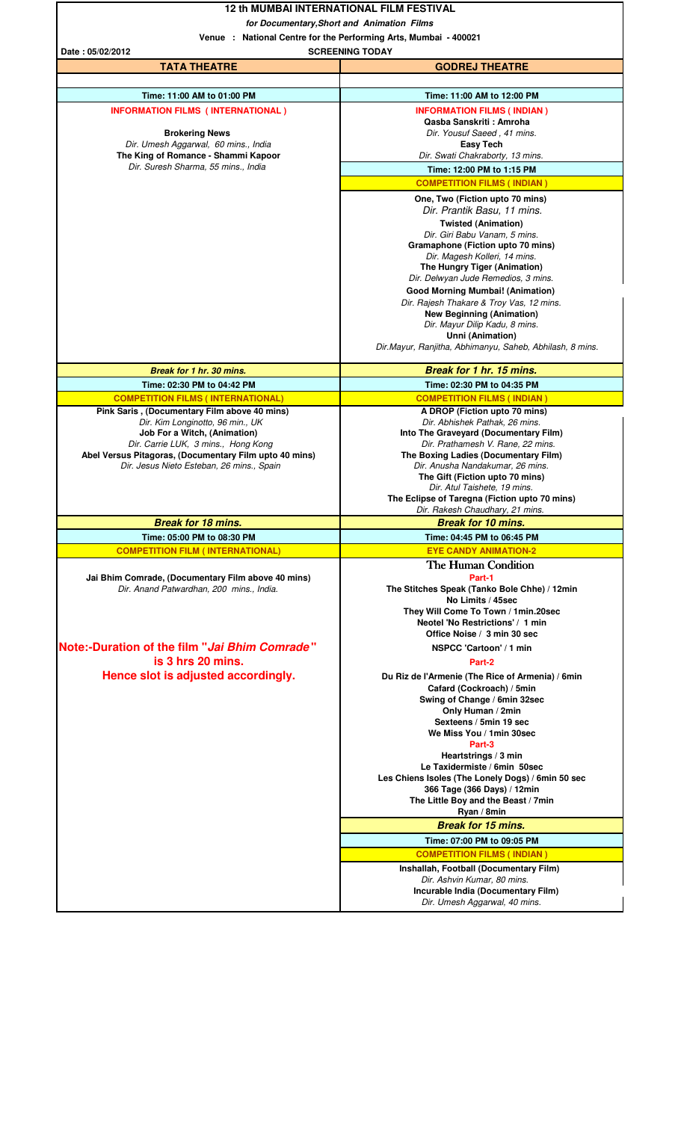|                                                                                                                                                                                                                                                                | <b>12 th MUMBAI INTERNATIONAL FILM FESTIVAL</b>                                                                                                                                                                                                                                                                                                                                                                                                                                                                         |  |
|----------------------------------------------------------------------------------------------------------------------------------------------------------------------------------------------------------------------------------------------------------------|-------------------------------------------------------------------------------------------------------------------------------------------------------------------------------------------------------------------------------------------------------------------------------------------------------------------------------------------------------------------------------------------------------------------------------------------------------------------------------------------------------------------------|--|
|                                                                                                                                                                                                                                                                | for Documentary, Short and Animation Films                                                                                                                                                                                                                                                                                                                                                                                                                                                                              |  |
| Venue : National Centre for the Performing Arts, Mumbai - 400021<br><b>SCREENING TODAY</b>                                                                                                                                                                     |                                                                                                                                                                                                                                                                                                                                                                                                                                                                                                                         |  |
| Date: 05/02/2012<br><b>TATA THEATRE</b>                                                                                                                                                                                                                        | <b>GODREJ THEATRE</b>                                                                                                                                                                                                                                                                                                                                                                                                                                                                                                   |  |
|                                                                                                                                                                                                                                                                |                                                                                                                                                                                                                                                                                                                                                                                                                                                                                                                         |  |
| Time: 11:00 AM to 01:00 PM                                                                                                                                                                                                                                     | Time: 11:00 AM to 12:00 PM                                                                                                                                                                                                                                                                                                                                                                                                                                                                                              |  |
| <b>INFORMATION FILMS (INTERNATIONAL)</b><br><b>Brokering News</b><br>Dir. Umesh Aggarwal, 60 mins., India<br>The King of Romance - Shammi Kapoor                                                                                                               | <b>INFORMATION FILMS (INDIAN)</b><br>Qasba Sanskriti: Amroha<br>Dir. Yousuf Saeed, 41 mins.<br><b>Easy Tech</b><br>Dir. Swati Chakraborty, 13 mins.                                                                                                                                                                                                                                                                                                                                                                     |  |
| Dir. Suresh Sharma, 55 mins., India                                                                                                                                                                                                                            | Time: 12:00 PM to 1:15 PM                                                                                                                                                                                                                                                                                                                                                                                                                                                                                               |  |
|                                                                                                                                                                                                                                                                | <b>COMPETITION FILMS (INDIAN)</b>                                                                                                                                                                                                                                                                                                                                                                                                                                                                                       |  |
|                                                                                                                                                                                                                                                                | One, Two (Fiction upto 70 mins)<br>Dir. Prantik Basu, 11 mins.<br><b>Twisted (Animation)</b><br>Dir. Giri Babu Vanam, 5 mins.<br>Gramaphone (Fiction upto 70 mins)<br>Dir. Magesh Kolleri, 14 mins.<br>The Hungry Tiger (Animation)<br>Dir. Delwyan Jude Remedios, 3 mins.<br><b>Good Morning Mumbai! (Animation)</b><br>Dir. Rajesh Thakare & Troy Vas, 12 mins.<br><b>New Beginning (Animation)</b><br>Dir. Mayur Dilip Kadu, 8 mins.<br>Unni (Animation)<br>Dir.Mayur, Ranjitha, Abhimanyu, Saheb, Abhilash, 8 mins. |  |
| Break for 1 hr. 30 mins.                                                                                                                                                                                                                                       | Break for 1 hr. 15 mins.                                                                                                                                                                                                                                                                                                                                                                                                                                                                                                |  |
| Time: 02:30 PM to 04:42 PM                                                                                                                                                                                                                                     | Time: 02:30 PM to 04:35 PM                                                                                                                                                                                                                                                                                                                                                                                                                                                                                              |  |
| <b>COMPETITION FILMS (INTERNATIONAL)</b>                                                                                                                                                                                                                       | <b>COMPETITION FILMS (INDIAN)</b>                                                                                                                                                                                                                                                                                                                                                                                                                                                                                       |  |
| Pink Saris, (Documentary Film above 40 mins)<br>Dir. Kim Longinotto, 96 min., UK<br>Job For a Witch, (Animation)<br>Dir. Carrie LUK, 3 mins., Hong Kong<br>Abel Versus Pitagoras, (Documentary Film upto 40 mins)<br>Dir. Jesus Nieto Esteban, 26 mins., Spain | A DROP (Fiction upto 70 mins)<br>Dir. Abhishek Pathak, 26 mins.<br>Into The Graveyard (Documentary Film)<br>Dir. Prathamesh V. Rane, 22 mins.<br>The Boxing Ladies (Documentary Film)<br>Dir. Anusha Nandakumar, 26 mins.<br>The Gift (Fiction upto 70 mins)<br>Dir. Atul Taishete, 19 mins.<br>The Eclipse of Taregna (Fiction upto 70 mins)                                                                                                                                                                           |  |
| <b>Break for 18 mins.</b>                                                                                                                                                                                                                                      | Dir. Rakesh Chaudhary, 21 mins.<br><b>Break for 10 mins.</b>                                                                                                                                                                                                                                                                                                                                                                                                                                                            |  |
| Time: 05:00 PM to 08:30 PM                                                                                                                                                                                                                                     | Time: 04:45 PM to 06:45 PM                                                                                                                                                                                                                                                                                                                                                                                                                                                                                              |  |
| <b>COMPETITION FILM (INTERNATIONAL)</b>                                                                                                                                                                                                                        | <b>EYE CANDY ANIMATION-2</b>                                                                                                                                                                                                                                                                                                                                                                                                                                                                                            |  |
| Jai Bhim Comrade, (Documentary Film above 40 mins)<br>Dir. Anand Patwardhan, 200 mins., India.                                                                                                                                                                 | The Human Condition<br>Part-1<br>The Stitches Speak (Tanko Bole Chhe) / 12min<br>No Limits / 45sec<br>They Will Come To Town / 1min.20sec<br>Neotel 'No Restrictions' / 1 min<br>Office Noise / 3 min 30 sec                                                                                                                                                                                                                                                                                                            |  |
| Note:-Duration of the film "Jai Bhim Comrade"                                                                                                                                                                                                                  | NSPCC 'Cartoon' / 1 min                                                                                                                                                                                                                                                                                                                                                                                                                                                                                                 |  |
| is 3 hrs 20 mins.<br>Hence slot is adjusted accordingly.                                                                                                                                                                                                       | Part-2<br>Du Riz de l'Armenie (The Rice of Armenia) / 6min<br>Cafard (Cockroach) / 5min<br>Swing of Change / 6min 32sec<br>Only Human / 2min<br>Sexteens / 5min 19 sec<br>We Miss You / 1min 30sec<br>Part-3<br>Heartstrings / 3 min<br>Le Taxidermiste / 6min 50sec<br>Les Chiens Isoles (The Lonely Dogs) / 6min 50 sec<br>366 Tage (366 Days) / 12min<br>The Little Boy and the Beast / 7min<br>Ryan / 8min                                                                                                          |  |
|                                                                                                                                                                                                                                                                | <b>Break for 15 mins.</b>                                                                                                                                                                                                                                                                                                                                                                                                                                                                                               |  |
|                                                                                                                                                                                                                                                                | Time: 07:00 PM to 09:05 PM                                                                                                                                                                                                                                                                                                                                                                                                                                                                                              |  |
|                                                                                                                                                                                                                                                                | <b>COMPETITION FILMS (INDIAN)</b><br>Inshallah, Football (Documentary Film)<br>Dir. Ashvin Kumar, 80 mins.<br>Incurable India (Documentary Film)<br>Dir. Umesh Aggarwal, 40 mins.                                                                                                                                                                                                                                                                                                                                       |  |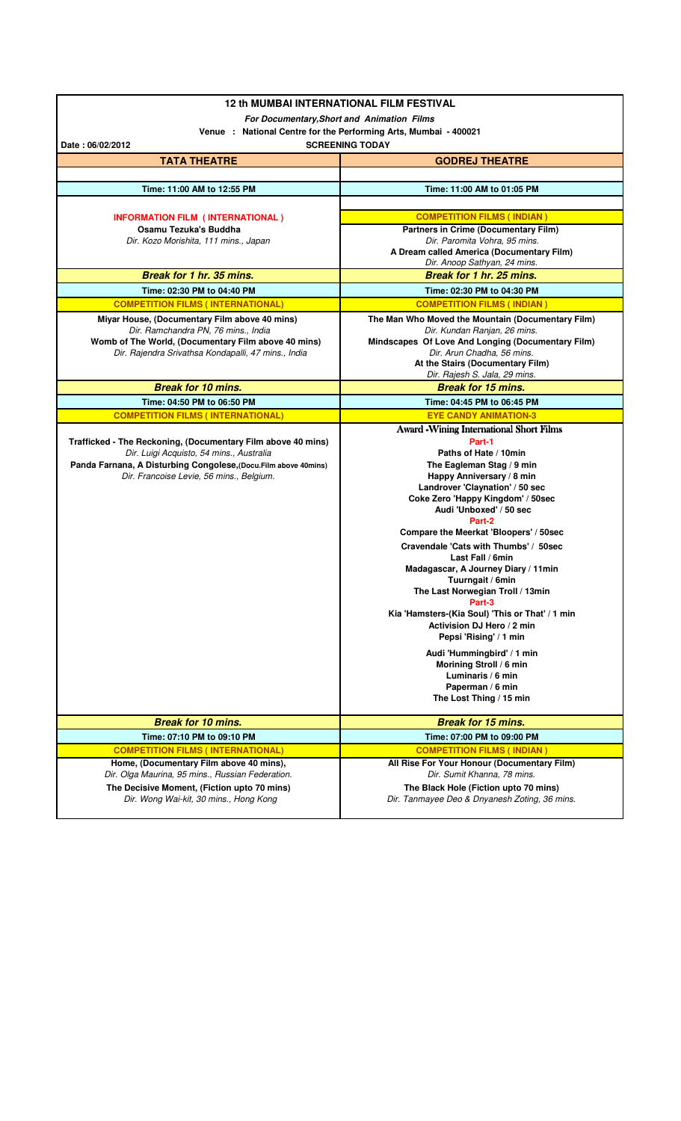| <b>12 th MUMBAI INTERNATIONAL FILM FESTIVAL</b>                                             |                                                                                   |
|---------------------------------------------------------------------------------------------|-----------------------------------------------------------------------------------|
|                                                                                             | For Documentary, Short and Animation Films                                        |
|                                                                                             | Venue : National Centre for the Performing Arts, Mumbai - 400021                  |
| Date: 06/02/2012                                                                            | <b>SCREENING TODAY</b>                                                            |
| <b>TATA THEATRE</b>                                                                         | <b>GODREJ THEATRE</b>                                                             |
|                                                                                             |                                                                                   |
| Time: 11:00 AM to 12:55 PM                                                                  | Time: 11:00 AM to 01:05 PM                                                        |
|                                                                                             |                                                                                   |
| <b>INFORMATION FILM (INTERNATIONAL)</b>                                                     | <b>COMPETITION FILMS (INDIAN)</b>                                                 |
| Osamu Tezuka's Buddha<br>Dir. Kozo Morishita, 111 mins., Japan                              | <b>Partners in Crime (Documentary Film)</b><br>Dir. Paromita Vohra, 95 mins.      |
|                                                                                             | A Dream called America (Documentary Film)                                         |
|                                                                                             | Dir. Anoop Sathyan, 24 mins.                                                      |
| Break for 1 hr. 35 mins.                                                                    | Break for 1 hr. 25 mins.                                                          |
| Time: 02:30 PM to 04:40 PM                                                                  | Time: 02:30 PM to 04:30 PM                                                        |
| <b>COMPETITION FILMS (INTERNATIONAL)</b>                                                    | <b>COMPETITION FILMS (INDIAN)</b>                                                 |
| Miyar House, (Documentary Film above 40 mins)                                               | The Man Who Moved the Mountain (Documentary Film)                                 |
| Dir. Ramchandra PN, 76 mins., India<br>Womb of The World, (Documentary Film above 40 mins)  | Dir. Kundan Ranjan, 26 mins.<br>Mindscapes Of Love And Longing (Documentary Film) |
| Dir. Rajendra Srivathsa Kondapalli, 47 mins., India                                         | Dir. Arun Chadha, 56 mins.                                                        |
|                                                                                             | At the Stairs (Documentary Film)                                                  |
|                                                                                             | Dir. Rajesh S. Jala, 29 mins.                                                     |
| <b>Break for 10 mins.</b>                                                                   | <b>Break for 15 mins.</b>                                                         |
| Time: 04:50 PM to 06:50 PM                                                                  | Time: 04:45 PM to 06:45 PM                                                        |
| <b>COMPETITION FILMS (INTERNATIONAL)</b>                                                    | <b>EYE CANDY ANIMATION-3</b>                                                      |
| Trafficked - The Reckoning, (Documentary Film above 40 mins)                                | <b>Award -Wining International Short Films</b><br>Part-1                          |
| Dir. Luigi Acquisto, 54 mins., Australia                                                    | Paths of Hate / 10min                                                             |
| Panda Farnana, A Disturbing Congolese, (Docu.Film above 40mins)                             | The Eagleman Stag / 9 min                                                         |
| Dir. Francoise Levie, 56 mins., Belgium.                                                    | Happy Anniversary / 8 min<br>Landrover 'Claynation' / 50 sec                      |
|                                                                                             | Coke Zero 'Happy Kingdom' / 50sec                                                 |
|                                                                                             | Audi 'Unboxed' / 50 sec                                                           |
|                                                                                             | Part-2                                                                            |
|                                                                                             | Compare the Meerkat 'Bloopers' / 50sec                                            |
|                                                                                             | Cravendale 'Cats with Thumbs' / 50sec<br>Last Fall / 6min                         |
|                                                                                             | Madagascar, A Journey Diary / 11min                                               |
|                                                                                             | Tuurngait / 6min                                                                  |
|                                                                                             | The Last Norwegian Troll / 13min                                                  |
|                                                                                             | Part-3<br>Kia 'Hamsters-(Kia Soul) 'This or That' / 1 min                         |
|                                                                                             | Activision DJ Hero / 2 min                                                        |
|                                                                                             | Pepsi 'Rising' / 1 min                                                            |
|                                                                                             | Audi 'Hummingbird' / 1 min                                                        |
|                                                                                             | Morining Stroll / 6 min                                                           |
|                                                                                             | Luminaris / 6 min<br>Paperman / 6 min                                             |
|                                                                                             | The Lost Thing / 15 min                                                           |
|                                                                                             |                                                                                   |
| <b>Break for 10 mins.</b>                                                                   | <b>Break for 15 mins.</b>                                                         |
| Time: 07:10 PM to 09:10 PM                                                                  | Time: 07:00 PM to 09:00 PM                                                        |
| <b>COMPETITION FILMS (INTERNATIONAL)</b>                                                    | <b>COMPETITION FILMS (INDIAN)</b>                                                 |
| Home, (Documentary Film above 40 mins),<br>Dir. Olga Maurina, 95 mins., Russian Federation. | All Rise For Your Honour (Documentary Film)<br>Dir. Sumit Khanna, 78 mins.        |
| The Decisive Moment, (Fiction upto 70 mins)                                                 | The Black Hole (Fiction upto 70 mins)                                             |
| Dir. Wong Wai-kit, 30 mins., Hong Kong                                                      | Dir. Tanmayee Deo & Dnyanesh Zoting, 36 mins.                                     |
|                                                                                             |                                                                                   |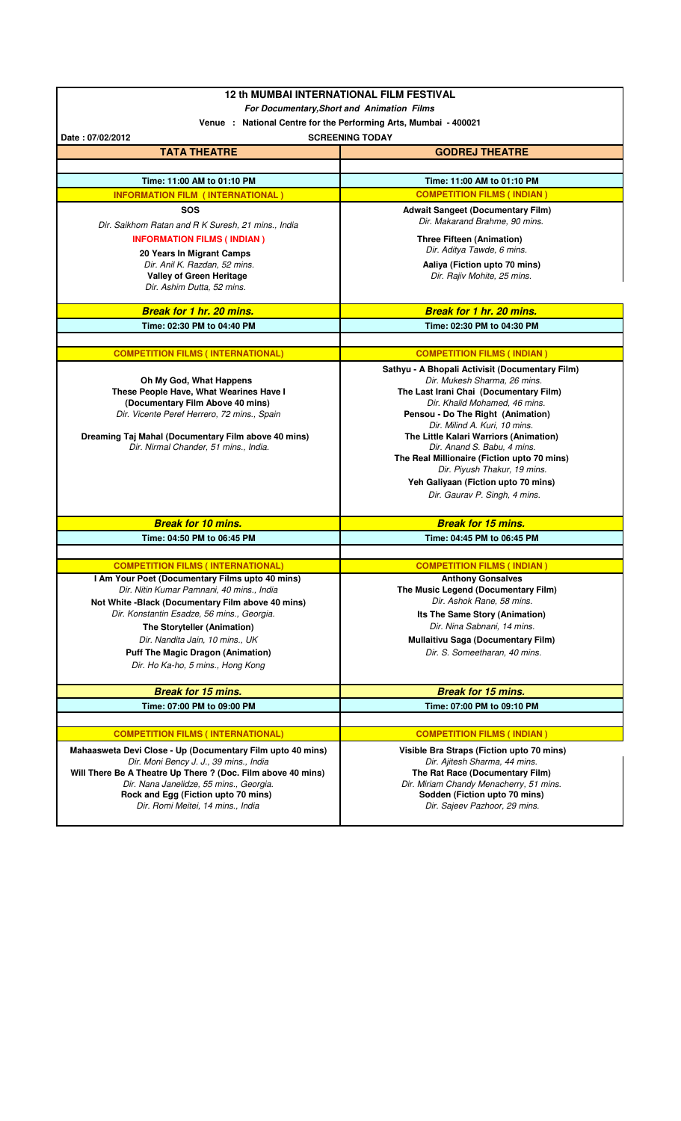|                                                                                                      | <b>12 th MUMBAI INTERNATIONAL FILM FESTIVAL</b>                            |
|------------------------------------------------------------------------------------------------------|----------------------------------------------------------------------------|
| <b>For Documentary, Short and Animation Films</b>                                                    |                                                                            |
| Venue : National Centre for the Performing Arts, Mumbai - 400021                                     |                                                                            |
| Date: 07/02/2012                                                                                     | <b>SCREENING TODAY</b>                                                     |
| <b>TATA THEATRE</b>                                                                                  | <b>GODREJ THEATRE</b>                                                      |
|                                                                                                      |                                                                            |
| Time: 11:00 AM to 01:10 PM                                                                           | Time: 11:00 AM to 01:10 PM<br><b>COMPETITION FILMS (INDIAN)</b>            |
| <b>INFORMATION FILM (INTERNATIONAL)</b>                                                              |                                                                            |
| SOS                                                                                                  | <b>Adwait Sangeet (Documentary Film)</b><br>Dir. Makarand Brahme, 90 mins. |
| Dir. Saikhom Ratan and R K Suresh, 21 mins., India<br><b>INFORMATION FILMS (INDIAN)</b>              |                                                                            |
| 20 Years In Migrant Camps                                                                            | <b>Three Fifteen (Animation)</b><br>Dir. Aditya Tawde, 6 mins.             |
| Dir. Anil K. Razdan, 52 mins.                                                                        | Aaliya (Fiction upto 70 mins)                                              |
| <b>Valley of Green Heritage</b>                                                                      | Dir. Rajiv Mohite, 25 mins.                                                |
| Dir. Ashim Dutta, 52 mins.                                                                           |                                                                            |
| <b>Break for 1 hr. 20 mins.</b>                                                                      | <b>Break for 1 hr. 20 mins.</b>                                            |
| Time: 02:30 PM to 04:40 PM                                                                           | Time: 02:30 PM to 04:30 PM                                                 |
|                                                                                                      |                                                                            |
| <b>COMPETITION FILMS (INTERNATIONAL)</b>                                                             | <b>COMPETITION FILMS (INDIAN)</b>                                          |
|                                                                                                      | Sathyu - A Bhopali Activisit (Documentary Film)                            |
| Oh My God, What Happens                                                                              | Dir. Mukesh Sharma, 26 mins.                                               |
| These People Have, What Wearines Have I<br>(Documentary Film Above 40 mins)                          | The Last Irani Chai (Documentary Film)<br>Dir. Khalid Mohamed, 46 mins.    |
| Dir. Vicente Peref Herrero, 72 mins., Spain                                                          | Pensou - Do The Right (Animation)                                          |
|                                                                                                      | Dir. Milind A. Kuri, 10 mins.                                              |
| Dreaming Taj Mahal (Documentary Film above 40 mins)<br>Dir. Nirmal Chander, 51 mins., India.         | The Little Kalari Warriors (Animation)<br>Dir. Anand S. Babu, 4 mins.      |
|                                                                                                      | The Real Millionaire (Fiction upto 70 mins)                                |
|                                                                                                      | Dir. Piyush Thakur, 19 mins.                                               |
|                                                                                                      | Yeh Galiyaan (Fiction upto 70 mins)                                        |
|                                                                                                      | Dir. Gaurav P. Singh, 4 mins.                                              |
| <b>Break for 10 mins.</b>                                                                            | <b>Break for 15 mins.</b>                                                  |
| Time: 04:50 PM to 06:45 PM                                                                           | Time: 04:45 PM to 06:45 PM                                                 |
|                                                                                                      |                                                                            |
| <b>COMPETITION FILMS (INTERNATIONAL)</b>                                                             |                                                                            |
|                                                                                                      | <b>COMPETITION FILMS (INDIAN)</b>                                          |
| I Am Your Poet (Documentary Films upto 40 mins)                                                      | <b>Anthony Gonsalves</b>                                                   |
| Dir. Nitin Kumar Pamnani, 40 mins., India                                                            | The Music Legend (Documentary Film)                                        |
| Not White -Black (Documentary Film above 40 mins)                                                    | Dir. Ashok Rane, 58 mins.                                                  |
| Dir. Konstantin Esadze, 56 mins., Georgia.                                                           | Its The Same Story (Animation)                                             |
| The Storyteller (Animation)<br>Dir. Nandita Jain, 10 mins., UK                                       | Dir. Nina Sabnani, 14 mins.                                                |
| <b>Puff The Magic Dragon (Animation)</b>                                                             | <b>Mullaitivu Saga (Documentary Film)</b><br>Dir. S. Someetharan, 40 mins. |
| Dir. Ho Ka-ho, 5 mins., Hong Kong                                                                    |                                                                            |
|                                                                                                      |                                                                            |
| <b>Break for 15 mins.</b>                                                                            | <b>Break for 15 mins.</b>                                                  |
| Time: 07:00 PM to 09:00 PM                                                                           | Time: 07:00 PM to 09:10 PM                                                 |
| <b>COMPETITION FILMS (INTERNATIONAL)</b>                                                             | <b>COMPETITION FILMS (INDIAN)</b>                                          |
|                                                                                                      |                                                                            |
| Mahaasweta Devi Close - Up (Documentary Film upto 40 mins)<br>Dir. Moni Bency J. J., 39 mins., India | Visible Bra Straps (Fiction upto 70 mins)<br>Dir. Ajitesh Sharma, 44 mins. |
| Will There Be A Theatre Up There ? (Doc. Film above 40 mins)                                         | The Rat Race (Documentary Film)                                            |
| Dir. Nana Janelidze, 55 mins., Georgia.                                                              | Dir. Miriam Chandy Menacherry, 51 mins.                                    |
| Rock and Egg (Fiction upto 70 mins)<br>Dir. Romi Meitei, 14 mins., India                             | Sodden (Fiction upto 70 mins)<br>Dir. Sajeev Pazhoor, 29 mins.             |

 $\overline{\phantom{a}}$